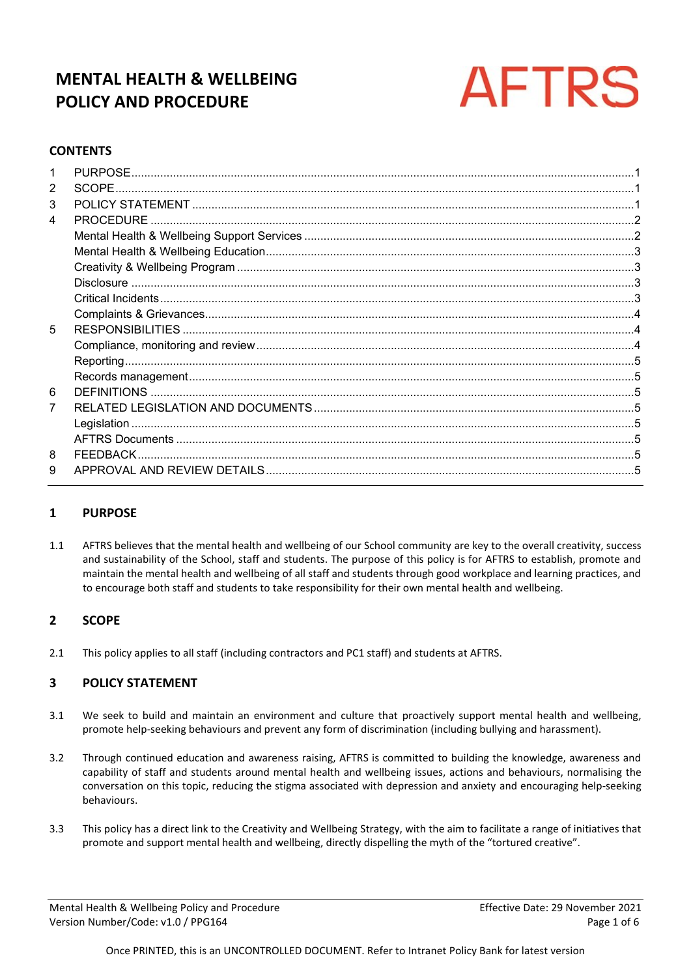# **MENTAL HEALTH & WELLBEING POLICY AND PROCEDURE**



## **CONTENTS**

|   | PURPOSE          |  |
|---|------------------|--|
| 2 | SCOPE.           |  |
| 3 |                  |  |
| 4 | <b>PROCEDURE</b> |  |
|   |                  |  |
|   |                  |  |
|   |                  |  |
|   |                  |  |
|   |                  |  |
|   |                  |  |
| 5 |                  |  |
|   |                  |  |
|   |                  |  |
|   |                  |  |
| 6 |                  |  |
| 7 |                  |  |
|   |                  |  |
|   |                  |  |
| 8 | FEEDBACK         |  |
| 9 |                  |  |
|   |                  |  |

## <span id="page-0-0"></span>**1 PURPOSE**

1.1 AFTRS believes that the mental health and wellbeing of our School community are key to the overall creativity, success and sustainability of the School, staff and students. The purpose of this policy is for AFTRS to establish, promote and maintain the mental health and wellbeing of all staff and students through good workplace and learning practices, and to encourage both staff and students to take responsibility for their own mental health and wellbeing.

## <span id="page-0-1"></span>**2 SCOPE**

2.1 This policy applies to all staff (including contractors and PC1 staff) and students at AFTRS.

## <span id="page-0-2"></span>**3 POLICY STATEMENT**

- 3.1 We seek to build and maintain an environment and culture that proactively support mental health and wellbeing, promote help-seeking behaviours and prevent any form of discrimination (including bullying and harassment).
- 3.2 Through continued education and awareness raising, AFTRS is committed to building the knowledge, awareness and capability of staff and students around mental health and wellbeing issues, actions and behaviours, normalising the conversation on this topic, reducing the stigma associated with depression and anxiety and encouraging help-seeking behaviours.
- 3.3 This policy has a direct link to the Creativity and Wellbeing Strategy, with the aim to facilitate a range of initiatives that promote and support mental health and wellbeing, directly dispelling the myth of the "tortured creative".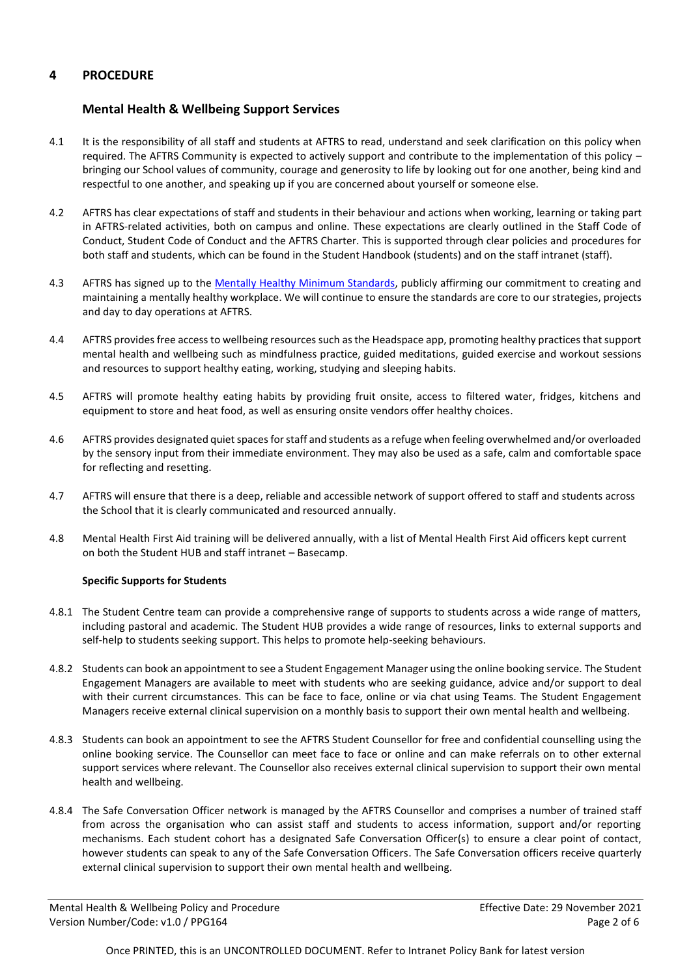## <span id="page-1-1"></span><span id="page-1-0"></span>**4 PROCEDURE**

## **Mental Health & Wellbeing Support Services**

- 4.1 It is the responsibility of all staff and students at AFTRS to read, understand and seek clarification on this policy when required. The AFTRS Community is expected to actively support and contribute to the implementation of this policy – bringing our School values of community, courage and generosity to life by looking out for one another, being kind and respectful to one another, and speaking up if you are concerned about yourself or someone else.
- 4.2 AFTRS has clear expectations of staff and students in their behaviour and actions when working, learning or taking part in AFTRS-related activities, both on campus and online. These expectations are clearly outlined in the Staff Code of Conduct, Student Code of Conduct and the AFTRS Charter. This is supported through clear policies and procedures for both staff and students, which can be found in the Student Handbook (students) and on the staff intranet (staff).
- 4.3 AFTRS has signed up to the [Mentally Healthy Minimum Standards,](https://www.mentally-healthy.org/minimum-standards-intro-1) publicly affirming our commitment to creating and maintaining a mentally healthy workplace. We will continue to ensure the standards are core to our strategies, projects and day to day operations at AFTRS.
- 4.4 AFTRS provides free access to wellbeing resources such as the Headspace app, promoting healthy practices that support mental health and wellbeing such as mindfulness practice, guided meditations, guided exercise and workout sessions and resources to support healthy eating, working, studying and sleeping habits.
- 4.5 AFTRS will promote healthy eating habits by providing fruit onsite, access to filtered water, fridges, kitchens and equipment to store and heat food, as well as ensuring onsite vendors offer healthy choices.
- 4.6 AFTRS provides designated quiet spaces for staff and students as a refuge when feeling overwhelmed and/or overloaded by the sensory input from their immediate environment. They may also be used as a safe, calm and comfortable space for reflecting and resetting.
- 4.7 AFTRS will ensure that there is a deep, reliable and accessible network of support offered to staff and students across the School that it is clearly communicated and resourced annually.
- 4.8 Mental Health First Aid training will be delivered annually, with a list of Mental Health First Aid officers kept current on both the Student HUB and staff intranet – Basecamp.

#### **Specific Supports for Students**

- 4.8.1 The Student Centre team can provide a comprehensive range of supports to students across a wide range of matters, including pastoral and academic. The Student HUB provides a wide range of resources, links to external supports and self-help to students seeking support. This helps to promote help-seeking behaviours.
- 4.8.2 Students can book an appointment to see a Student Engagement Manager using the online booking service. The Student Engagement Managers are available to meet with students who are seeking guidance, advice and/or support to deal with their current circumstances. This can be face to face, online or via chat using Teams. The Student Engagement Managers receive external clinical supervision on a monthly basis to support their own mental health and wellbeing.
- 4.8.3 Students can book an appointment to see the AFTRS Student Counsellor for free and confidential counselling using the online booking service. The Counsellor can meet face to face or online and can make referrals on to other external support services where relevant. The Counsellor also receives external clinical supervision to support their own mental health and wellbeing.
- 4.8.4 The Safe Conversation Officer network is managed by the AFTRS Counsellor and comprises a number of trained staff from across the organisation who can assist staff and students to access information, support and/or reporting mechanisms. Each student cohort has a designated Safe Conversation Officer(s) to ensure a clear point of contact, however students can speak to any of the Safe Conversation Officers. The Safe Conversation officers receive quarterly external clinical supervision to support their own mental health and wellbeing.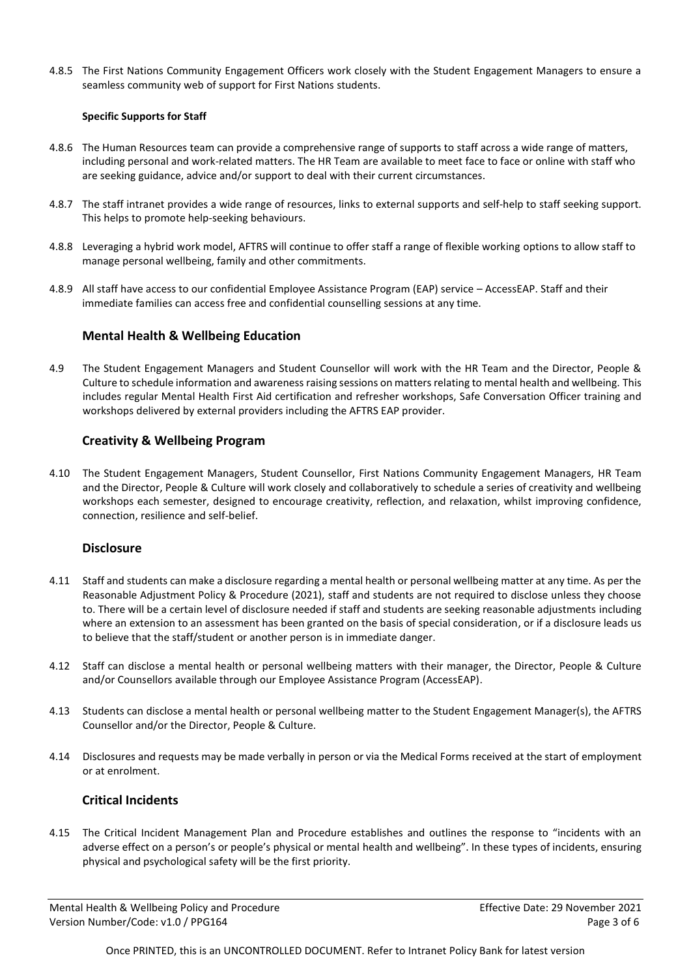4.8.5 The First Nations Community Engagement Officers work closely with the Student Engagement Managers to ensure a seamless community web of support for First Nations students.

#### **Specific Supports for Staff**

- 4.8.6 The Human Resources team can provide a comprehensive range of supports to staff across a wide range of matters, including personal and work-related matters. The HR Team are available to meet face to face or online with staff who are seeking guidance, advice and/or support to deal with their current circumstances.
- 4.8.7 The staff intranet provides a wide range of resources, links to external supports and self-help to staff seeking support. This helps to promote help-seeking behaviours.
- 4.8.8 Leveraging a hybrid work model, AFTRS will continue to offer staff a range of flexible working options to allow staff to manage personal wellbeing, family and other commitments.
- 4.8.9 All staff have access to our confidential Employee Assistance Program (EAP) service AccessEAP. Staff and their immediate families can access free and confidential counselling sessions at any time.

#### **Mental Health & Wellbeing Education**

<span id="page-2-0"></span>4.9 The Student Engagement Managers and Student Counsellor will work with the HR Team and the Director, People & Culture to schedule information and awareness raising sessions on matters relating to mental health and wellbeing. This includes regular Mental Health First Aid certification and refresher workshops, Safe Conversation Officer training and workshops delivered by external providers including the AFTRS EAP provider.

### **Creativity & Wellbeing Program**

<span id="page-2-1"></span>4.10 The Student Engagement Managers, Student Counsellor, First Nations Community Engagement Managers, HR Team and the Director, People & Culture will work closely and collaboratively to schedule a series of creativity and wellbeing workshops each semester, designed to encourage creativity, reflection, and relaxation, whilst improving confidence, connection, resilience and self-belief.

#### **Disclosure**

- <span id="page-2-2"></span>4.11 Staff and students can make a disclosure regarding a mental health or personal wellbeing matter at any time. As per the Reasonable Adjustment Policy & Procedure (2021), staff and students are not required to disclose unless they choose to. There will be a certain level of disclosure needed if staff and students are seeking reasonable adjustments including where an extension to an assessment has been granted on the basis of special consideration, or if a disclosure leads us to believe that the staff/student or another person is in immediate danger.
- 4.12 Staff can disclose a mental health or personal wellbeing matters with their manager, the Director, People & Culture and/or Counsellors available through our Employee Assistance Program (AccessEAP).
- 4.13 Students can disclose a mental health or personal wellbeing matter to the Student Engagement Manager(s), the AFTRS Counsellor and/or the Director, People & Culture.
- 4.14 Disclosures and requests may be made verbally in person or via the Medical Forms received at the start of employment or at enrolment.

### **Critical Incidents**

<span id="page-2-3"></span>4.15 The Critical Incident Management Plan and Procedure establishes and outlines the response to "incidents with an adverse effect on a person's or people's physical or mental health and wellbeing". In these types of incidents, ensuring physical and psychological safety will be the first priority.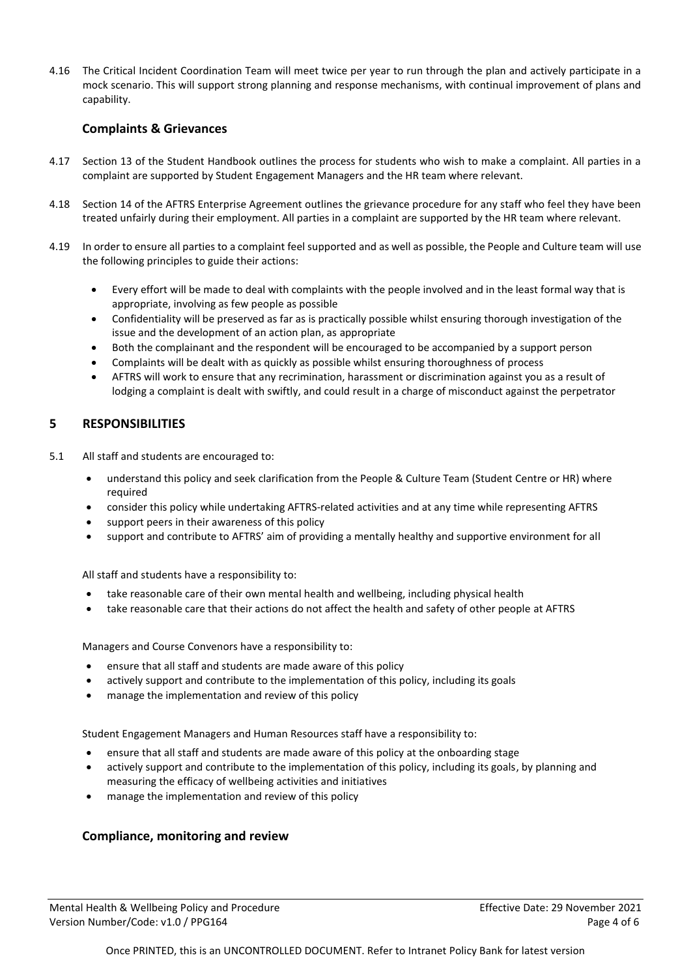4.16 The Critical Incident Coordination Team will meet twice per year to run through the plan and actively participate in a mock scenario. This will support strong planning and response mechanisms, with continual improvement of plans and capability.

## **Complaints & Grievances**

- <span id="page-3-0"></span>4.17 Section 13 of the Student Handbook outlines the process for students who wish to make a complaint. All parties in a complaint are supported by Student Engagement Managers and the HR team where relevant.
- 4.18 Section 14 of the AFTRS Enterprise Agreement outlines the grievance procedure for any staff who feel they have been treated unfairly during their employment. All parties in a complaint are supported by the HR team where relevant.
- 4.19 In order to ensure all parties to a complaint feel supported and as well as possible, the People and Culture team will use the following principles to guide their actions:
	- Every effort will be made to deal with complaints with the people involved and in the least formal way that is appropriate, involving as few people as possible
	- Confidentiality will be preserved as far as is practically possible whilst ensuring thorough investigation of the issue and the development of an action plan, as appropriate
	- Both the complainant and the respondent will be encouraged to be accompanied by a support person
	- Complaints will be dealt with as quickly as possible whilst ensuring thoroughness of process
	- AFTRS will work to ensure that any recrimination, harassment or discrimination against you as a result of lodging a complaint is dealt with swiftly, and could result in a charge of misconduct against the perpetrator

### <span id="page-3-1"></span>**5 RESPONSIBILITIES**

- 5.1 All staff and students are encouraged to:
	- understand this policy and seek clarification from the People & Culture Team (Student Centre or HR) where required
	- consider this policy while undertaking AFTRS-related activities and at any time while representing AFTRS
	- support peers in their awareness of this policy
	- support and contribute to AFTRS' aim of providing a mentally healthy and supportive environment for all

All staff and students have a responsibility to:

- take reasonable care of their own mental health and wellbeing, including physical health
- take reasonable care that their actions do not affect the health and safety of other people at AFTRS

Managers and Course Convenors have a responsibility to:

- ensure that all staff and students are made aware of this policy
- actively support and contribute to the implementation of this policy, including its goals
- manage the implementation and review of this policy

Student Engagement Managers and Human Resources staff have a responsibility to:

- ensure that all staff and students are made aware of this policy at the onboarding stage
- actively support and contribute to the implementation of this policy, including its goals, by planning and measuring the efficacy of wellbeing activities and initiatives
- manage the implementation and review of this policy

## <span id="page-3-2"></span>**Compliance, monitoring and review**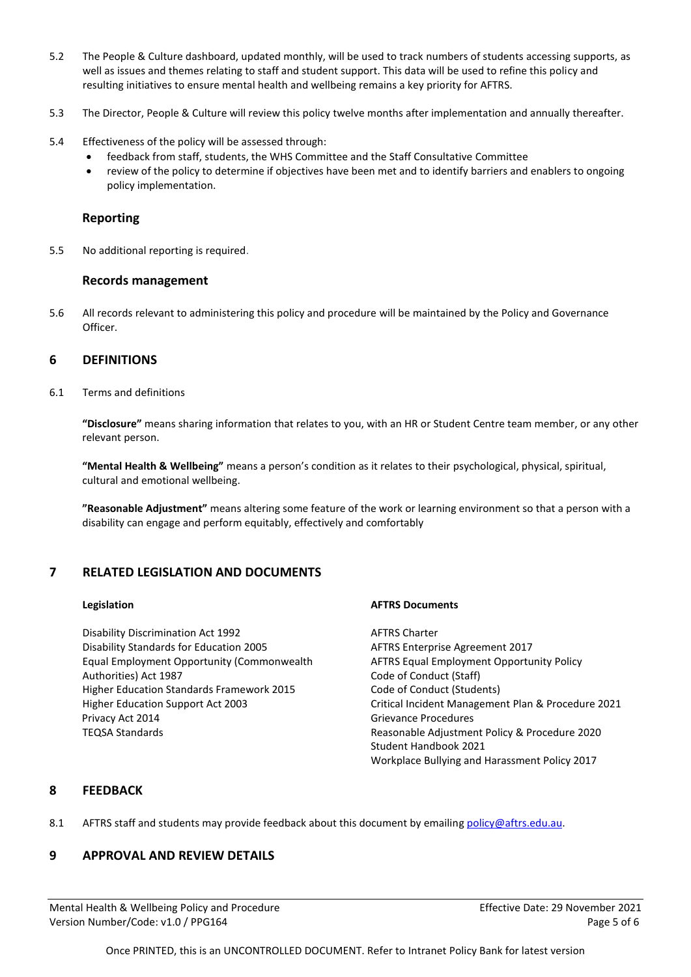- 5.2 The People & Culture dashboard, updated monthly, will be used to track numbers of students accessing supports, as well as issues and themes relating to staff and student support. This data will be used to refine this policy and resulting initiatives to ensure mental health and wellbeing remains a key priority for AFTRS.
- 5.3 The Director, People & Culture will review this policy twelve months after implementation and annually thereafter.
- 5.4 Effectiveness of the policy will be assessed through:
	- feedback from staff, students, the WHS Committee and the Staff Consultative Committee
	- review of the policy to determine if objectives have been met and to identify barriers and enablers to ongoing policy implementation.

### **Reporting**

<span id="page-4-1"></span><span id="page-4-0"></span>5.5 No additional reporting is required.

#### **Records management**

5.6 All records relevant to administering this policy and procedure will be maintained by the Policy and Governance Officer.

## <span id="page-4-2"></span>**6 DEFINITIONS**

6.1 Terms and definitions

**"Disclosure"** means sharing information that relates to you, with an HR or Student Centre team member, or any other relevant person.

**"Mental Health & Wellbeing"** means a person's condition as it relates to their psychological, physical, spiritual, cultural and emotional wellbeing.

**"Reasonable Adjustment"** means altering some feature of the work or learning environment so that a person with a disability can engage and perform equitably, effectively and comfortably

#### <span id="page-4-3"></span>**7 RELATED LEGISLATION AND DOCUMENTS**

#### <span id="page-4-4"></span>**Legislation**

Disability Discrimination Act 1992 Disability Standards for Education 2005 Equal Employment Opportunity (Commonwealth Authorities) Act 1987 Higher Education Standards Framework 2015 Higher Education Support Act 2003 Privacy Act 2014 TEQSA Standards

#### <span id="page-4-5"></span>**AFTRS Documents**

AFTRS Charter AFTRS Enterprise Agreement 2017 AFTRS Equal Employment Opportunity Policy Code of Conduct (Staff) Code of Conduct (Students) Critical Incident Management Plan & Procedure 2021 Grievance Procedures Reasonable Adjustment Policy & Procedure 2020 Student Handbook 2021 Workplace Bullying and Harassment Policy 2017

## <span id="page-4-6"></span>**8 FEEDBACK**

8.1 AFTRS staff and students may provide feedback about this document by emailin[g policy@aftrs.edu.au.](mailto:policy@aftrs.edu.au)

## <span id="page-4-7"></span>**9 APPROVAL AND REVIEW DETAILS**

Mental Health & Wellbeing Policy and Procedure Effective Date: 29 November 2021 Version Number/Code: v1.0 / PPG164 Page 5 of 6